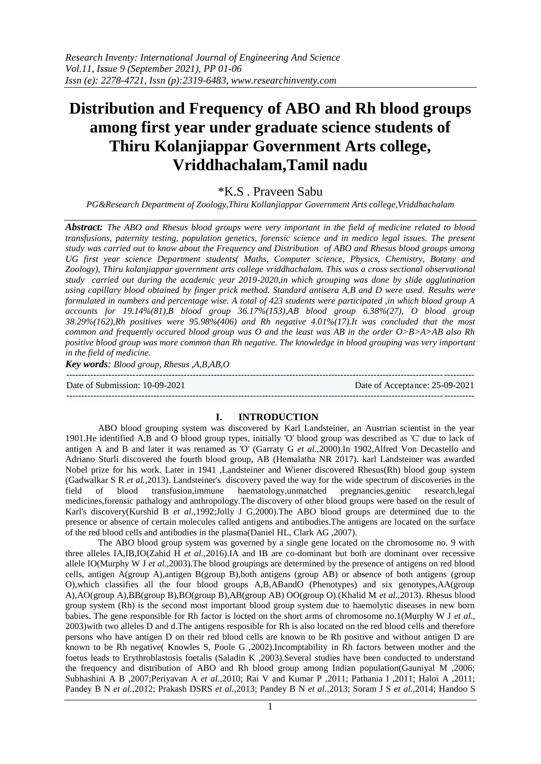# **Distribution and Frequency of ABO and Rh blood groups among first year under graduate science students of Thiru Kolanjiappar Government Arts college, Vriddhachalam,Tamil nadu**

## \*K.S . Praveen Sabu

*PG&Research Department of Zoology,Thiru Kollanjiappar Government Arts college,Vriddhachalam*

*Abstract: The ABO and Rhesus blood groups were very important in the field of medicine related to blood transfusions, paternity testing, population genetics, forensic science and in medico legal issues. The present study was carried out to know about the Frequency and Distribution of ABO and Rhesus blood groups among UG first year science Department students( Maths, Computer science, Physics, Chemistry, Botany and Zoology), Thiru kolanjiappar government arts college vriddhachalam. This was a cross sectional observational study carried out during the academic year 2019-2020,in which grouping was done by slide agglutination using capillary blood obtained by finger prick method. Standard antisera A,B and D were used. Results were formulated in numbers and percentage wise. A total of 423 students were participated ,in which blood group A accounts for 19.14%(81),B blood group 36.17%(153),AB blood group 6.38%(27), O blood group 38.29%(162),Rh positives were 95.98%(406) and Rh negative 4.01%(17).It was concluded that the most common and frequently occured blood group was O and the least was AB in the order O>B>A>AB also Rh positive blood group was more common than Rh negative. The knowledge in blood grouping was very important in the field of medicine.*

*Key words: Blood group, Rhesus ,A,B,AB,O*

Date of Submission: 10-09-2021 Date of Acceptance: 25-09-2021

## **I. INTRODUCTION**

---------------------------------------------------------------------------------------------------------------------------------------

---------------------------------------------------------------------------------------------------------------------------------------

ABO blood grouping system was discovered by Karl Landsteiner, an Austrian scientist in the year 1901.He identified A,B and O blood group types, initially 'O' blood group was described as 'C' due to lack of antigen A and B and later it was renamed as 'O' (Garraty G *et al.,*2000).In 1902,Alfred Von Decastello and Adriano Sturli discovered the fourth blood group, AB (Hemalatha NR 2017). karl Landsteiner was awarded Nobel prize for his work. Later in 1941 ,Landsteiner and Wiener discovered Rhesus(Rh) blood goup system (Gadwalkar S R *et al.,*2013). Landsteiner's discovery paved the way for the wide spectrum of discoveries in the field of blood transfusion,immune haematology,unmatched pregnancies,genitic research,legal medicines,forensic pathalogy and anthropology.The discovery of other blood groups were based on the result of Karl's discovery(Kurshid B *et al.,*1992;Jolly J G,2000).The ABO blood groups are determined due to the presence or absence of certain molecules called antigens and antibodies.The antigens are located on the surface of the red blood cells and antibodies in the plasma(Daniel HL, Clark AG ,2007).

The ABO blood group system was governed by a single gene located on the chromosome no. 9 with three alleles IA,IB,IO(Zahid H *et al.,*2016).IA and IB are co-dominant but both are dominant over recessive allele IO(Murphy W J *et al.,*2003).The blood groupings are determined by the presence of antigens on red blood cells, antigen A(group A),antigen B(group B),both antigens (group AB) or absence of both antigens (group O),which classifies all the four blood groups A,B,ABandO (Phenotypes) and six genotypes,AA(group A),AO(group A),BB(group B),BO(group B),AB(group AB) OO(group O).(Khalid M *et al.,*2013). Rhesus blood group system (Rh) is the second most important blood group system due to haemolytic diseases in new born babies. The gene responsible for Rh factor is locted on the short arms of chromosome no.1(Murphy W J *et al.,* 2003)with two alleles D and d.The antigens resposible for Rh is also located on the red blood cells and therefore persons who have antigen D on their red blood cells are known to be Rh positive and without antigen D are known to be Rh negative( Knowles S, Poole G ,2002).Incomptability in Rh factors between mother and the foetus leads to Erythroblastosis foetalis (Saladin K ,2003).Several studies have been conducted to understand the frequency and distribution of ABO and Rh blood group among Indian population(Gauniyal M ,2006; Subhashini A B ,2007;Periyavan A *et al.*,2010; Rai V and Kumar P ,2011; Pathania I ,2011; Haloi A ,2011; Pandey B N *et al.*,2012; Prakash DSRS *et al.,*2013; Pandey B N *et al.,*2013; Soram J S *et al.,*2014; Handoo S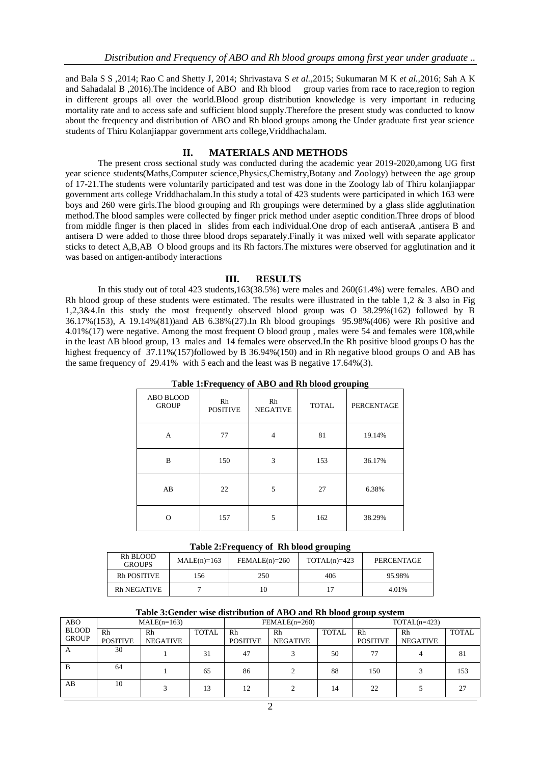and Bala S S ,2014; Rao C and Shetty J, 2014; Shrivastava S *et al.,*2015; Sukumaran M K *et al.,*2016; Sah A K and Sahadalal B ,2016).The incidence of ABO and Rh blood group varies from race to race,region to region in different groups all over the world.Blood group distribution knowledge is very important in reducing mortality rate and to access safe and sufficient blood supply.Therefore the present study was conducted to know about the frequency and distribution of ABO and Rh blood groups among the Under graduate first year science students of Thiru Kolanjiappar government arts college,Vriddhachalam.

## **II. MATERIALS AND METHODS**

The present cross sectional study was conducted during the academic year 2019-2020,among UG first year science students(Maths,Computer science,Physics,Chemistry,Botany and Zoology) between the age group of 17-21.The students were voluntarily participated and test was done in the Zoology lab of Thiru kolanjiappar government arts college Vriddhachalam.In this study a total of 423 students were participated in which 163 were boys and 260 were girls.The blood grouping and Rh groupings were determined by a glass slide agglutination method.The blood samples were collected by finger prick method under aseptic condition.Three drops of blood from middle finger is then placed in slides from each individual. One drop of each antiseraA ,antisera B and antisera D were added to those three blood drops separately.Finally it was mixed well with separate applicator sticks to detect A,B,AB O blood groups and its Rh factors.The mixtures were observed for agglutination and it was based on antigen-antibody interactions

#### **III. RESULTS**

In this study out of total 423 students,163(38.5%) were males and 260(61.4%) were females. ABO and Rh blood group of these students were estimated. The results were illustrated in the table 1,2 & 3 also in Fig 1,2,3&4.In this study the most frequently observed blood group was O 38.29%(162) followed by B 36.17%(153), A 19.14%(81))and AB 6.38%(27).In Rh blood groupings 95.98%(406) were Rh positive and 4.01%(17) were negative. Among the most frequent O blood group , males were 54 and females were 108,while in the least AB blood group, 13 males and 14 females were observed.In the Rh positive blood groups O has the highest frequency of 37.11%(157)followed by B 36.94%(150) and in Rh negative blood groups O and AB has the same frequency of 29.41% with 5 each and the least was B negative 17.64%(3).

|                           | $\cdot$               |                       | -            | -                 |
|---------------------------|-----------------------|-----------------------|--------------|-------------------|
| ABO BLOOD<br><b>GROUP</b> | Rh<br><b>POSITIVE</b> | Rh<br><b>NEGATIVE</b> | <b>TOTAL</b> | <b>PERCENTAGE</b> |
| A                         | 77                    | $\overline{4}$        | 81           | 19.14%            |
| B                         | 3<br>150              |                       | 153          | 36.17%            |
| AB                        | 22                    | 5                     | 27           | 6.38%             |
| $\Omega$                  | 157                   | 5                     | 162          | 38.29%            |

**Table 1:Frequency of ABO and Rh blood grouping**

| Table 2: Frequency of Rh blood grouping |  |  |  |  |  |
|-----------------------------------------|--|--|--|--|--|
|-----------------------------------------|--|--|--|--|--|

| Rh BLOOD<br><b>GROUPS</b> | $MALE(n)=163$ | $FEMALE(n)=260$ |     | PERCENTAGE |  |
|---------------------------|---------------|-----------------|-----|------------|--|
| <b>Rh POSITIVE</b>        | .56           |                 | 406 | 95.98%     |  |
| <b>Rh NEGATIVE</b>        |               | 10              |     | 4.01%      |  |

## **Table 3:Gender wise distribution of ABO and Rh blood group system**

| <b>ABO</b>   |                 | $MALE(n=163)$   |       |                 | $FEMALE(n=260)$ |              |                 | $TOTAL(n=423)$ |              |  |  |
|--------------|-----------------|-----------------|-------|-----------------|-----------------|--------------|-----------------|----------------|--------------|--|--|
| <b>BLOOD</b> | Rh              | Rh              | TOTAL | Rh              | Rh              | <b>TOTAL</b> | Rh              | Rh             | <b>TOTAL</b> |  |  |
| <b>GROUP</b> | <b>POSITIVE</b> | <b>NEGATIVE</b> |       | <b>POSITIVE</b> | <b>NEGATIVE</b> |              | <b>POSITIVE</b> | NEGATIVE       |              |  |  |
| A            | 30              |                 | 31    | 47              |                 | 50           | 77              |                | 81           |  |  |
| B            | 64              |                 | 65    | 86              |                 | 88           | 150             |                | 153          |  |  |
| AB           | 10              |                 | 13    | 12              |                 | 14           | 22              |                | 27           |  |  |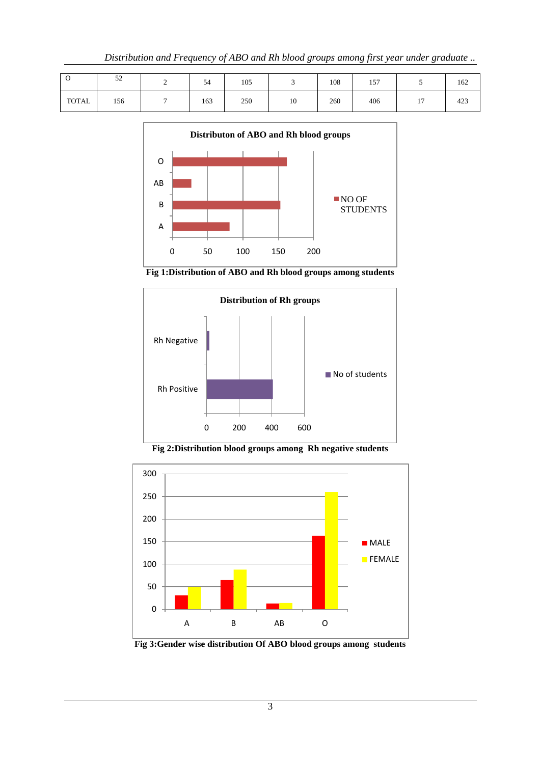| $\check{ }$  | 52  | 54  | 105 |    | 108 | 157 |                       | 162 |
|--------------|-----|-----|-----|----|-----|-----|-----------------------|-----|
| <b>TOTAL</b> | 156 | 163 | 250 | 10 | 260 | 406 | $\overline{ }$<br>. . | 423 |



**Fig 1:Distribution of ABO and Rh blood groups among students**



**Fig 2:Distribution blood groups among Rh negative students**



**Fig 3:Gender wise distribution Of ABO blood groups among students**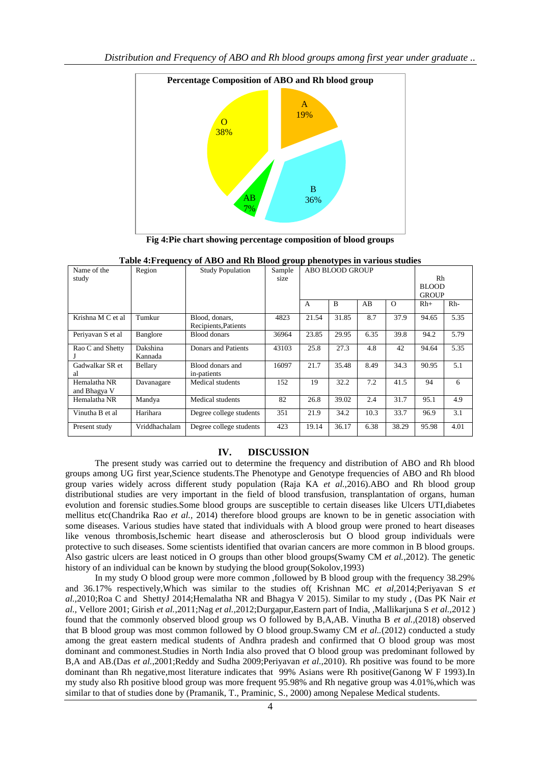

**Fig 4:Pie chart showing percentage composition of blood groups**

| Name of the       | Region        | <b>Study Population</b> | $-$<br>Sample | r r   | ---- <i>--</i><br>ABO BLOOD GROUP |      |          |              |              |  |  |
|-------------------|---------------|-------------------------|---------------|-------|-----------------------------------|------|----------|--------------|--------------|--|--|
| study             |               |                         | size          |       |                                   |      |          | Rh           |              |  |  |
|                   |               |                         |               |       |                                   |      |          |              | <b>BLOOD</b> |  |  |
|                   |               |                         |               |       |                                   |      |          | <b>GROUP</b> |              |  |  |
|                   |               |                         |               | A     | B                                 | AB   | $\Omega$ | $Rh+$        | $Rh-$        |  |  |
| Krishna M C et al | Tumkur        | Blood, donars,          | 4823          | 21.54 | 31.85                             | 8.7  | 37.9     | 94.65        | 5.35         |  |  |
|                   |               | Recipients, Patients    |               |       |                                   |      |          |              |              |  |  |
| Periyavan S et al | Banglore      | <b>Blood</b> donars     | 36964         | 23.85 | 29.95                             | 6.35 | 39.8     | 94.2         | 5.79         |  |  |
| Rao C and Shetty  | Dakshina      | Donars and Patients     | 43103         | 25.8  | 27.3                              | 4.8  | 42       | 94.64        | 5.35         |  |  |
|                   | Kannada       |                         |               |       |                                   |      |          |              |              |  |  |
| Gadwalkar SR et   | Bellary       | Blood donars and        | 16097         | 21.7  | 35.48                             | 8.49 | 34.3     | 90.95        | 5.1          |  |  |
| al                |               | in-patients             |               |       |                                   |      |          |              |              |  |  |
| Hemalatha NR      | Davanagare    | Medical students        | 152           | 19    | 32.2                              | 7.2  | 41.5     | 94           | 6            |  |  |
| and Bhagya V      |               |                         |               |       |                                   |      |          |              |              |  |  |
| Hemalatha NR      | Mandya        | Medical students        | 82            | 26.8  | 39.02                             | 2.4  | 31.7     | 95.1         | 4.9          |  |  |
| Vinutha B et al   | Harihara      | Degree college students | 351           | 21.9  | 34.2                              | 10.3 | 33.7     | 96.9         | 3.1          |  |  |
| Present study     | Vriddhachalam | Degree college students | 423           | 19.14 | 36.17                             | 6.38 | 38.29    | 95.98        | 4.01         |  |  |

**Table 4:Frequency of ABO and Rh Blood group phenotypes in various studies**

#### **IV. DISCUSSION**

 The present study was carried out to determine the frequency and distribution of ABO and Rh blood groups among UG first year,Science students.The Phenotype and Genotype frequencies of ABO and Rh blood group varies widely across different study population (Raja KA *et al.,*2016).ABO and Rh blood group distributional studies are very important in the field of blood transfusion, transplantation of organs, human evolution and forensic studies.Some blood groups are susceptible to certain diseases like Ulcers UTI,diabetes mellitus etc(Chandrika Rao *et al.,* 2014) therefore blood groups are known to be in genetic association with some diseases. Various studies have stated that individuals with A blood group were proned to heart diseases like venous thrombosis,Ischemic heart disease and atherosclerosis but O blood group individuals were protective to such diseases. Some scientists identified that ovarian cancers are more common in B blood groups. Also gastric ulcers are least noticed in O groups than other blood groups(Swamy CM *et al.*,2012). The genetic history of an individual can be known by studying the blood group(Sokolov,1993)

 In my study O blood group were more common ,followed by B blood group with the frequency 38.29% and 36.17% respectively,Which was similar to the studies of( Krishnan MC *et al,*2014;Periyavan S *et al.,*2010;Roa C and ShettyJ 2014;Hemalatha NR and Bhagya V 2015). Similar to my study , (Das PK Nair *et al.,* Vellore 2001; Girish *et al.*,2011;Nag *et al.,*2012;Durgapur,Eastern part of India, ,Mallikarjuna S *et al.,*2012 ) found that the commonly observed blood group ws O followed by B,A,AB. Vinutha B *et al.,*(2018) observed that B blood group was most common followed by O blood group.Swamy CM *et al..*(2012) conducted a study among the great eastern medical students of Andhra pradesh and confirmed that O blood group was most dominant and commonest.Studies in North India also proved that O blood group was predominant followed by B,A and AB.(Das *et al.*,2001;Reddy and Sudha 2009;Periyavan *et al.,*2010). Rh positive was found to be more dominant than Rh negative,most literature indicates that 99% Asians were Rh positive(Ganong W F 1993).In my study also Rh positive blood group was more frequent 95.98% and Rh negative group was 4.01%,which was similar to that of studies done by (Pramanik, T., Praminic, S., 2000) among Nepalese Medical students.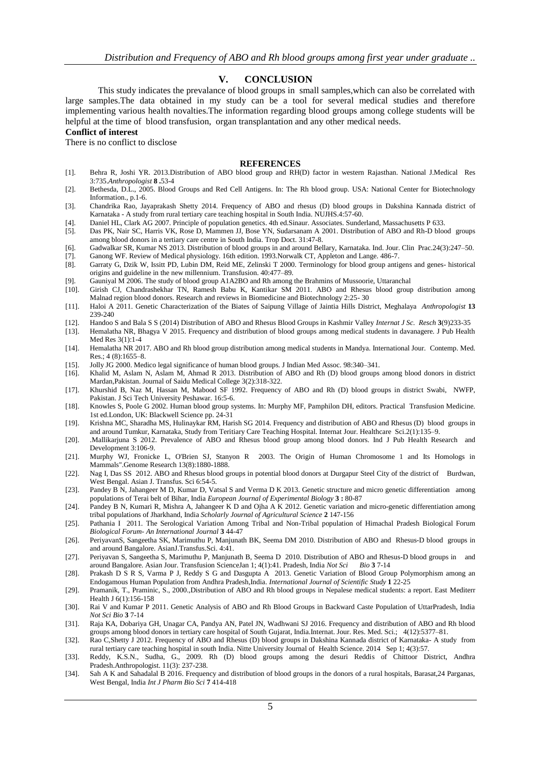## **V. CONCLUSION**

This study indicates the prevalance of blood groups in small samples,which can also be correlated with large samples.The data obtained in my study can be a tool for several medical studies and therefore implementing various health novalties.The information regarding blood groups among college students will be helpful at the time of blood transfusion, organ transplantation and any other medical needs.

#### **Conflict of interest**

There is no conflict to disclose

#### **REFERENCES**

- [1]. Behra R, Joshi YR. 2013.Distribution of ABO blood group and RH(D) factor in western Rajasthan. National J.Medical Res 3:735.*Anthropologist* **8 .**53-4
- [2]. Bethesda, D.L., 2005. Blood Groups and Red Cell Antigens. In: The Rh blood group. USA: National Center for Biotechnology Information., p.1-6.
- [3]. Chandrika Rao, Jayaprakash Shetty 2014. Frequency of ABO and rhesus (D) blood groups in Dakshina Kannada district of Karnataka - A study from rural tertiary care teaching hospital in South India. NUJHS.4:57-60.
- [4]. Daniel HL, Clark AG 2007. Principle of population genetics. 4th ed.Sinaur. Associates. Sunderland, Massachusetts P 633.
- [5]. Das PK, Nair SC, Harris VK, Rose D, Mammen JJ, Bose YN, Sudarsanam A 2001. Distribution of ABO and Rh-D blood groups among blood donors in a tertiary care centre in South India. Trop Doct. 31:47-8.
- [6]. Gadwalkar SR, Kumar NS 2013. Distribution of blood groups in and around Bellary, Karnataka. Ind. Jour. Clin Prac.24(3):247–50.
- [7]. Ganong WF. Review of Medical physiology. 16th edition. 1993.Norwalk CT, Appleton and Lange. 486-7. [8]. Garraty G, Dzik W, Issitt PD, Lubin DM, Reid ME, Zelinski T 2000. Terminology for blood group antigens and genes- historical origins and guideline in the new millennium. Transfusion. 40:477–89.
- [9]. Gauniyal M 2006. The study of blood group A1A2BO and Rh among the Brahmins of Mussoorie, Uttaranchal
- [10]. Girish CJ, Chandrashekhar TN, Ramesh Babu K, Kantikar SM 2011. ABO and Rhesus blood group distribution among Malnad region blood donors. Research and reviews in Biomedicine and Biotechnology 2:25- 30
- [11]. Haloi A 2011. Genetic Characterization of the Biates of Saipung Village of Jaintia Hills District, Meghalaya *Anthropologist* **13**  239-240
- [12]. Handoo S and Bala S S (2014) Distribution of ABO and Rhesus Blood Groups in Kashmir Valley *Internat J Sc. Resch* **3**(9)233-35
- [13]. Hemalatha NR, Bhagya V 2015. Frequency and distribution of blood groups among medical students in davanagere. J Pub Health Med Res 3(1):1-4
- [14]. Hemalatha NR 2017. ABO and Rh blood group distribution among medical students in Mandya. International Jour. Contemp. Med. Res.; 4 (8):1655–8.
- [15]. Jolly JG 2000. Medico legal significance of human blood groups. J Indian Med Assoc. 98:340–341.
- [16]. Khalid M, Aslam N, Aslam M, Ahmad R 2013. Distribution of ABO and Rh (D) blood groups among blood donors in district Mardan,Pakistan. Journal of Saidu Medical College 3(2):318-322.
- [17]. Khurshid B, Naz M, Hassan M, Mabood SF 1992. Frequency of ABO and Rh (D) blood groups in district Swabi, NWFP, Pakistan. J Sci Tech University Peshawar. 16:5-6.
- [18]. Knowles S, Poole G 2002. Human blood group systems. In: Murphy MF, Pamphilon DH, editors. Practical Transfusion Medicine. 1st ed.London, UK: Blackwell Science pp. 24-31
- [19]. Krishna MC, Sharadha MS, Hulinaykar RM, Harish SG 2014. Frequency and distribution of ABO and Rhesus (D) blood groups in and around Tumkur, Karnataka, Study from Teritiary Care Teaching Hospital. Internat Jour. Healthcare Sci.2(1):135–9.
- [20]. .Mallikarjuna S 2012. Prevalence of ABO and Rhesus blood group among blood donors. Ind J Pub Health Research and Development 3:106-9.
- [21]. Murphy WJ, Fronicke L, O'Brien SJ, Stanyon R 2003. The Origin of Human Chromosome 1 and Its Homologs in Mammals".Genome Research 13(8):1880-1888.
- [22]. Nag I, Das SS 2012. ABO and Rhesus blood groups in potential blood donors at Durgapur Steel City of the district of Burdwan, West Bengal. Asian J. Transfus. Sci 6:54-5.
- [23]. Pandey B N, Jahangeer M D, Kumar D, Vatsal S and Verma D K 2013. Genetic structure and micro genetic differentiation among populations of Terai belt of Bihar, India *European Journal of Experimental Biology* **3 :** 80-87
- [24]. Pandey B N, Kumari R, Mishra A, Jahangeer K D and Ojha A K 2012. Genetic variation and micro-genetic differentiation among tribal populations of Jharkhand, India *Scholarly Journal of Agricultural Science* **2** 147-156
- [25]. Pathania I 2011. The Serological Variation Among Tribal and Non-Tribal population of Himachal Pradesh Biological Forum *Biological Forum- An International Journal* **3** 44-47
- [26]. PeriyavanS, Sangeetha SK, Marimuthu P, Manjunath BK, Seema DM 2010. Distribution of ABO and Rhesus-D blood groups in and around Bangalore. AsianJ.Transfus.Sci. 4:41.
- [27]. Periyavan S, Sangeetha S, Marimuthu P, Manjunath B, Seema D 2010. Distribution of ABO and Rhesus-D blood groups in and around Bangalore. Asian Jour. Transfusion ScienceJan 1; 4(1):41. Pradesh, India *Not Sci Bio* **3** 7-14
- [28]. Prakash D S R S, Varma P J, Reddy S G and Dasgupta A 2013. Genetic Variation of Blood Group Polymorphism among an Endogamous Human Population from Andhra Pradesh,India. *International Journal of Scientific Study* **1** 22-25
- [29]. Pramanik, T., Praminic, S., 2000.,Distribution of ABO and Rh blood groups in Nepalese medical students: a report. East Mediterr Health J 6(1):156-158
- [30]. Rai V and Kumar P 2011. Genetic Analysis of ABO and Rh Blood Groups in Backward Caste Population of UttarPradesh, India *Not Sci Bio* **3** 7-14
- [31]. Raja KA, Dobariya GH, Unagar CA, Pandya AN, Patel JN, Wadhwani SJ 2016. Frequency and distribution of ABO and Rh blood groups among blood donors in tertiary care hospital of South Gujarat, India.Internat. Jour. Res. Med. Sci.; 4(12):5377–81.
- [32]. Rao C,Shetty J 2012. Frequency of ABO and Rhesus (D) blood groups in Dakshina Kannada district of Karnataka- A study from rural tertiary care teaching hospital in south India. Nitte University Journal of Health Science. 2014 Sep 1; 4(3):57.
- [33]. Reddy, K.S.N., Sudha, G., 2009. Rh (D) blood groups among the desuri Reddis of Chittoor District, Andhra Pradesh.Anthropologist. 11(3): 237-238.
- [34]. Sah A K and Sahadalal B 2016. Frequency and distribution of blood groups in the donors of a rural hospitals, Barasat,24 Parganas, West Bengal, India *Int J Pharm Bio Sci* **7** 414-418